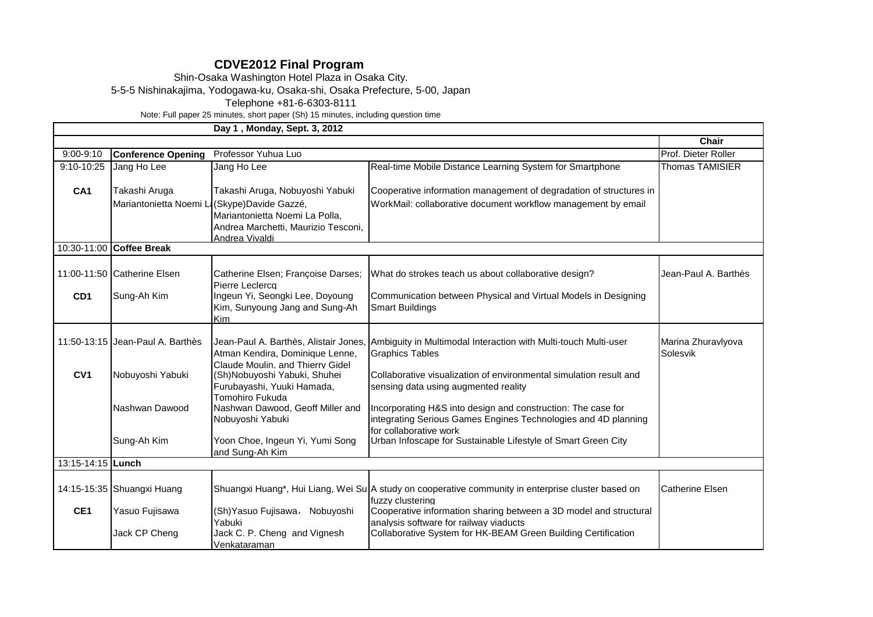## **CDVE2012 Final Program**

Shin-Osaka Washington Hotel Plaza in Osaka City.

5-5-5 Nishinakajima, Yodogawa-ku, Osaka-shi, Osaka Prefecture, 5-00, Japan

Telephone +81-6-6303-8111

Note: Full paper 25 minutes, short paper (Sh) 15 minutes, including question time

|                 | Day 1, Monday, Sept. 3, 2012                 |                                                                                                |                                                                                                                                                          |                                |  |  |  |  |  |
|-----------------|----------------------------------------------|------------------------------------------------------------------------------------------------|----------------------------------------------------------------------------------------------------------------------------------------------------------|--------------------------------|--|--|--|--|--|
|                 |                                              |                                                                                                |                                                                                                                                                          | Chair                          |  |  |  |  |  |
| $9:00 - 9:10$   | <b>Conference Opening</b>                    | Professor Yuhua Luo                                                                            |                                                                                                                                                          | Prof. Dieter Roller            |  |  |  |  |  |
| $9:10-10:25$    | Jang Ho Lee                                  | Jang Ho Lee                                                                                    | Real-time Mobile Distance Learning System for Smartphone                                                                                                 | <b>Thomas TAMISIER</b>         |  |  |  |  |  |
| CA <sub>1</sub> | Takashi Aruga                                | Takashi Aruga, Nobuyoshi Yabuki                                                                | Cooperative information management of degradation of structures in                                                                                       |                                |  |  |  |  |  |
|                 | Mariantonietta Noemi Li (Skype)Davide Gazzé, | Mariantonietta Noemi La Polla,<br>Andrea Marchetti, Maurizio Tesconi,<br>Andrea Vivaldi        | WorkMail: collaborative document workflow management by email                                                                                            |                                |  |  |  |  |  |
|                 | 10:30-11:00 Coffee Break                     |                                                                                                |                                                                                                                                                          |                                |  |  |  |  |  |
|                 | 11:00-11:50 Catherine Elsen                  | Catherine Elsen; Françoise Darses;<br>Pierre Leclercq                                          | What do strokes teach us about collaborative design?                                                                                                     | Jean-Paul A. Barthès           |  |  |  |  |  |
| CD <sub>1</sub> | Sung-Ah Kim                                  | Ingeun Yi, Seongki Lee, Doyoung<br>Kim, Sunyoung Jang and Sung-Ah<br><b>Kim</b>                | Communication between Physical and Virtual Models in Designing<br><b>Smart Buildings</b>                                                                 |                                |  |  |  |  |  |
|                 | 11:50-13:15 Uean-Paul A. Barthès             | Atman Kendira, Dominique Lenne,                                                                | Jean-Paul A. Barthès, Alistair Jones, Ambiguity in Multimodal Interaction with Multi-touch Multi-user<br><b>Graphics Tables</b>                          | Marina Zhuravlyova<br>Solesvik |  |  |  |  |  |
| CV <sub>1</sub> | Nobuyoshi Yabuki                             | Claude Moulin, and Thierry Gidel<br>(Sh)Nobuyoshi Yabuki, Shuhei<br>Furubayashi, Yuuki Hamada, | Collaborative visualization of environmental simulation result and<br>sensing data using augmented reality                                               |                                |  |  |  |  |  |
|                 | Nashwan Dawood                               | Tomohiro Fukuda<br>Nashwan Dawood, Geoff Miller and<br>Nobuyoshi Yabuki                        | Incorporating H&S into design and construction: The case for<br>integrating Serious Games Engines Technologies and 4D planning<br>for collaborative work |                                |  |  |  |  |  |
|                 | Sung-Ah Kim                                  | Yoon Choe, Ingeun Yi, Yumi Song<br>and Sung-Ah Kim                                             | Urban Infoscape for Sustainable Lifestyle of Smart Green City                                                                                            |                                |  |  |  |  |  |
|                 | 13:15-14:15 Lunch                            |                                                                                                |                                                                                                                                                          |                                |  |  |  |  |  |
|                 | 14:15-15:35 Shuangxi Huang                   |                                                                                                | Shuangxi Huang*, Hui Liang, Wei Su A study on cooperative community in enterprise cluster based on<br>fuzzy clustering                                   | <b>Catherine Elsen</b>         |  |  |  |  |  |
| CE <sub>1</sub> | Yasuo Fujisawa                               | (Sh) Yasuo Fujisawa, Nobuyoshi<br>Yabuki                                                       | Cooperative information sharing between a 3D model and structural<br>analysis software for railway viaducts                                              |                                |  |  |  |  |  |
|                 | Jack CP Cheng                                | Jack C. P. Cheng and Vignesh<br>Venkataraman                                                   | Collaborative System for HK-BEAM Green Building Certification                                                                                            |                                |  |  |  |  |  |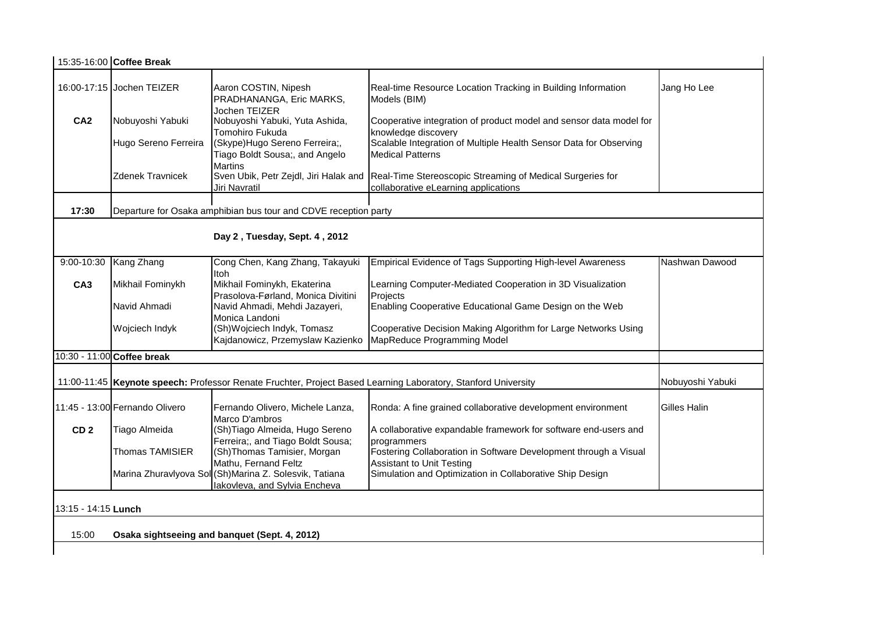|                               | 15:35-16:00 Coffee Break                                                                                       |                                                                                         |                                                                                                   |                |  |  |
|-------------------------------|----------------------------------------------------------------------------------------------------------------|-----------------------------------------------------------------------------------------|---------------------------------------------------------------------------------------------------|----------------|--|--|
|                               | 16:00-17:15 Jochen TEIZER                                                                                      | Aaron COSTIN, Nipesh<br>PRADHANANGA, Eric MARKS,                                        | Real-time Resource Location Tracking in Building Information<br>Models (BIM)                      | Jang Ho Lee    |  |  |
| CA <sub>2</sub>               | Nobuyoshi Yabuki                                                                                               | Jochen TEIZER<br>Nobuyoshi Yabuki, Yuta Ashida,<br>Tomohiro Fukuda                      | Cooperative integration of product model and sensor data model for<br>knowledge discovery         |                |  |  |
|                               | Hugo Sereno Ferreira                                                                                           | (Skype)Hugo Sereno Ferreira;,<br>Tiago Boldt Sousa;, and Angelo                         | Scalable Integration of Multiple Health Sensor Data for Observing<br><b>Medical Patterns</b>      |                |  |  |
|                               | Zdenek Travnicek                                                                                               | <b>Martins</b><br>Sven Ubik, Petr Zejdl, Jiri Halak and<br>Jiri Navratil                | Real-Time Stereoscopic Streaming of Medical Surgeries for<br>collaborative eLearning applications |                |  |  |
| 17:30                         |                                                                                                                | Departure for Osaka amphibian bus tour and CDVE reception party                         |                                                                                                   |                |  |  |
| Day 2, Tuesday, Sept. 4, 2012 |                                                                                                                |                                                                                         |                                                                                                   |                |  |  |
| $9:00 - 10:30$                | Kang Zhang                                                                                                     | Cong Chen, Kang Zhang, Takayuki                                                         | Empirical Evidence of Tags Supporting High-level Awareness                                        | Nashwan Dawood |  |  |
| CA <sub>3</sub>               | Mikhail Fominykh                                                                                               | <b>Itoh</b><br>Mikhail Fominykh, Ekaterina<br>Prasolova-Førland, Monica Divitini        | Learning Computer-Mediated Cooperation in 3D Visualization<br>Projects                            |                |  |  |
|                               | Navid Ahmadi                                                                                                   | Navid Ahmadi, Mehdi Jazayeri,                                                           | Enabling Cooperative Educational Game Design on the Web                                           |                |  |  |
|                               | Wojciech Indyk                                                                                                 | Monica Landoni<br>(Sh)Wojciech Indyk, Tomasz<br>Kajdanowicz, Przemyslaw Kazienko        | Cooperative Decision Making Algorithm for Large Networks Using<br>MapReduce Programming Model     |                |  |  |
|                               | 10:30 - 11:00 Coffee break                                                                                     |                                                                                         |                                                                                                   |                |  |  |
|                               | 11:00-11:45  Keynote speech: Professor Renate Fruchter, Project Based Learning Laboratory, Stanford University | Nobuyoshi Yabuki                                                                        |                                                                                                   |                |  |  |
|                               | 11:45 - 13:00 Fernando Olivero                                                                                 | Fernando Olivero, Michele Lanza,<br>Marco D'ambros                                      | Ronda: A fine grained collaborative development environment                                       | Gilles Halin   |  |  |
| CD <sub>2</sub>               | Tiago Almeida                                                                                                  | (Sh)Tiago Almeida, Hugo Sereno<br>Ferreira;, and Tiago Boldt Sousa;                     | A collaborative expandable framework for software end-users and<br>programmers                    |                |  |  |
|                               | Thomas TAMISIER                                                                                                | (Sh)Thomas Tamisier, Morgan<br>Mathu, Fernand Feltz                                     | Fostering Collaboration in Software Development through a Visual                                  |                |  |  |
|                               |                                                                                                                | Marina Zhuravlyova Sol (Sh)Marina Z. Solesvik, Tatiana<br>lakovleva, and Sylvia Encheva | <b>Assistant to Unit Testing</b><br>Simulation and Optimization in Collaborative Ship Design      |                |  |  |
| 13:15 - 14:15 Lunch           |                                                                                                                |                                                                                         |                                                                                                   |                |  |  |
| 15:00                         | Osaka sightseeing and banquet (Sept. 4, 2012)                                                                  |                                                                                         |                                                                                                   |                |  |  |
|                               |                                                                                                                |                                                                                         |                                                                                                   |                |  |  |